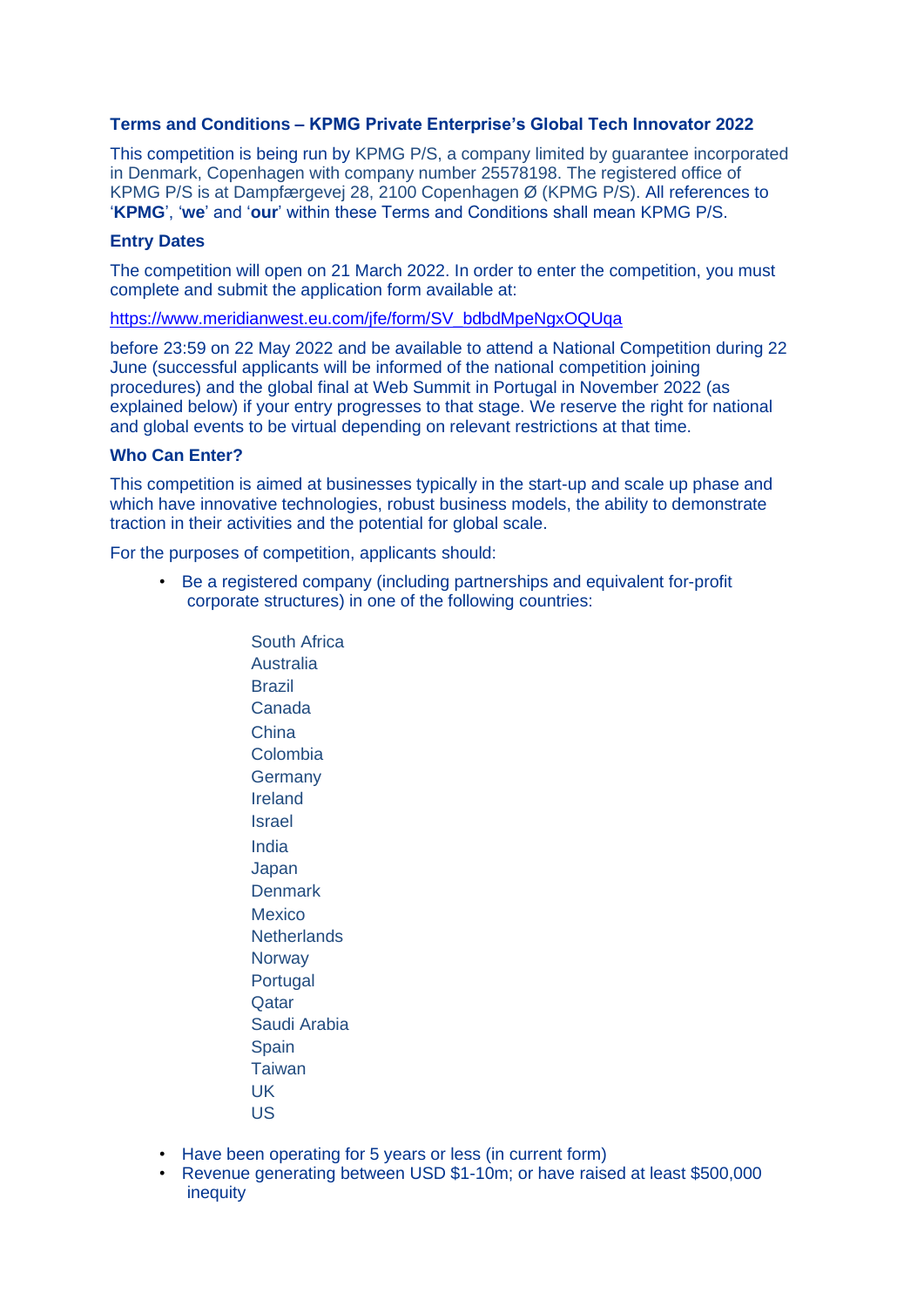# **Terms and Conditions – KPMG Private Enterprise's Global Tech Innovator 2022**

This competition is being run by KPMG P/S, a company limited by guarantee incorporated in Denmark, Copenhagen with company number 25578198. The registered office of KPMG P/S is at Dampfærgevej 28, 2100 Copenhagen Ø (KPMG P/S). All references to '**KPMG**', '**we**' and '**our**' within these Terms and Conditions shall mean KPMG P/S.

#### **Entry Dates**

The competition will open on 21 March 2022. In order to enter the competition, you must complete and submit the application form available at:

[https://www.meridianwest.eu.com/jfe/form/SV\\_bdbdMpeNgxOQUqa](https://www.meridianwest.eu.com/jfe/form/SV_bdbdMpeNgxOQUqa)

before 23:59 on 22 May 2022 and be available to attend a National Competition during 22 June (successful applicants will be informed of the national competition joining procedures) and the global final at Web Summit in Portugal in November 2022 (as explained below) if your entry progresses to that stage. We reserve the right for national and global events to be virtual depending on relevant restrictions at that time.

#### **Who Can Enter?**

This competition is aimed at businesses typically in the start-up and scale up phase and which have innovative technologies, robust business models, the ability to demonstrate traction in their activities and the potential for global scale.

For the purposes of competition, applicants should:

• Be a registered company (including partnerships and equivalent for-profit corporate structures) in one of the following countries:

> South Africa Australia Brazil Canada China Colombia **Germany** Ireland Israel India Japan **Denmark** Mexico **Netherlands Norway Portugal Qatar** Saudi Arabia **Spain Taiwan** UK US

- Have been operating for 5 years or less (in current form)
- Revenue generating between USD \$1-10m; or have raised at least \$500,000 inequity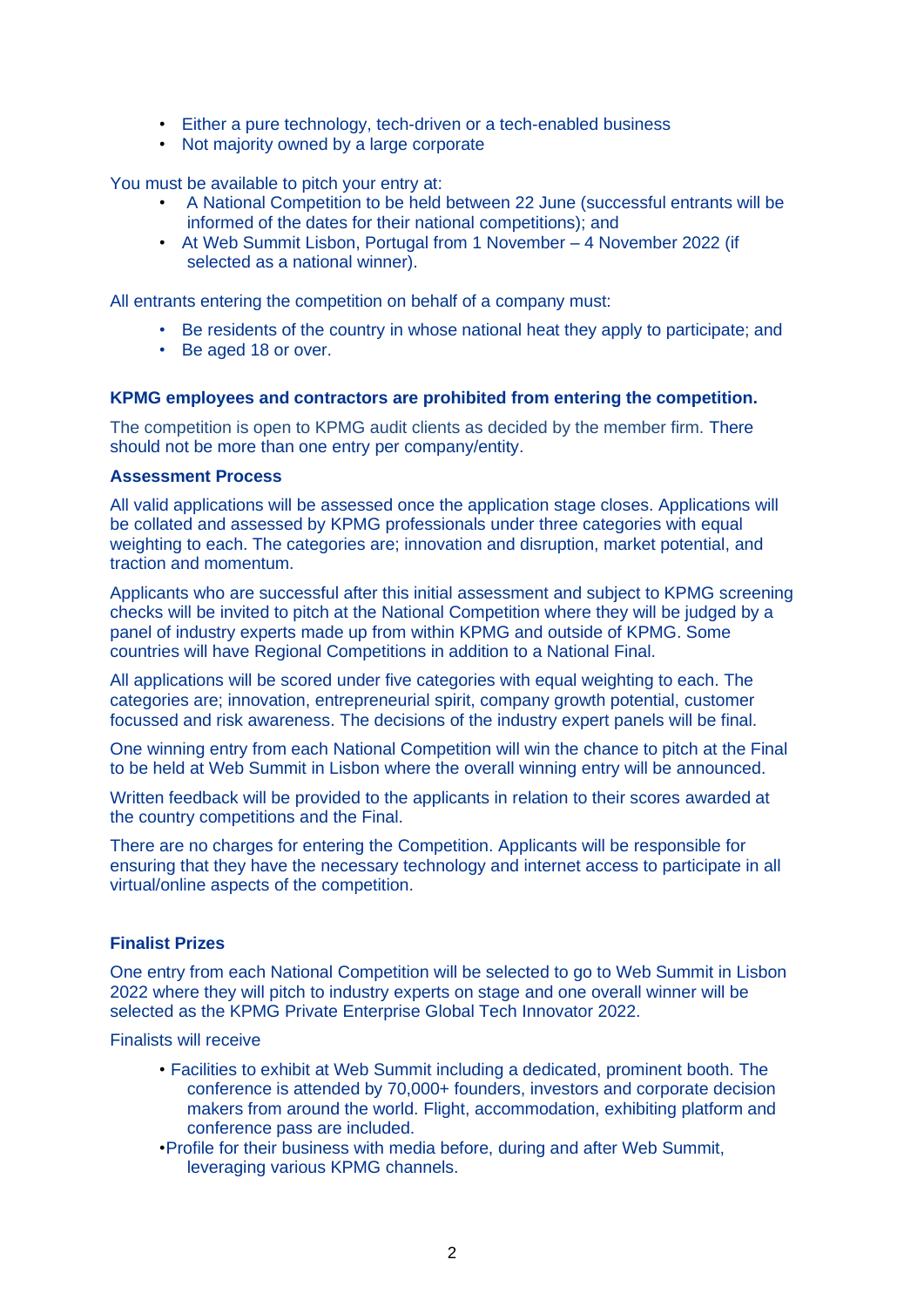- Either a pure technology, tech-driven or a tech-enabled business
- Not majority owned by a large corporate

You must be available to pitch your entry at:

- A National Competition to be held between 22 June (successful entrants will be informed of the dates for their national competitions); and
- At Web Summit Lisbon, Portugal from 1 November 4 November 2022 (if selected as a national winner).

All entrants entering the competition on behalf of a company must:

- Be residents of the country in whose national heat they apply to participate; and
- Be aged 18 or over.

## **KPMG employees and contractors are prohibited from entering the competition.**

The competition is open to KPMG audit clients as decided by the member firm. There should not be more than one entry per company/entity.

#### **Assessment Process**

All valid applications will be assessed once the application stage closes. Applications will be collated and assessed by KPMG professionals under three categories with equal weighting to each. The categories are; innovation and disruption, market potential, and traction and momentum.

Applicants who are successful after this initial assessment and subject to KPMG screening checks will be invited to pitch at the National Competition where they will be judged by a panel of industry experts made up from within KPMG and outside of KPMG. Some countries will have Regional Competitions in addition to a National Final.

All applications will be scored under five categories with equal weighting to each. The categories are; innovation, entrepreneurial spirit, company growth potential, customer focussed and risk awareness. The decisions of the industry expert panels will be final.

One winning entry from each National Competition will win the chance to pitch at the Final to be held at Web Summit in Lisbon where the overall winning entry will be announced.

Written feedback will be provided to the applicants in relation to their scores awarded at the country competitions and the Final.

There are no charges for entering the Competition. Applicants will be responsible for ensuring that they have the necessary technology and internet access to participate in all virtual/online aspects of the competition.

# **Finalist Prizes**

One entry from each National Competition will be selected to go to Web Summit in Lisbon 2022 where they will pitch to industry experts on stage and one overall winner will be selected as the KPMG Private Enterprise Global Tech Innovator 2022.

Finalists will receive

- Facilities to exhibit at Web Summit including a dedicated, prominent booth. The conference is attended by 70,000+ founders, investors and corporate decision makers from around the world. Flight, accommodation, exhibiting platform and conference pass are included.
- •Profile for their business with media before, during and after Web Summit, leveraging various KPMG channels.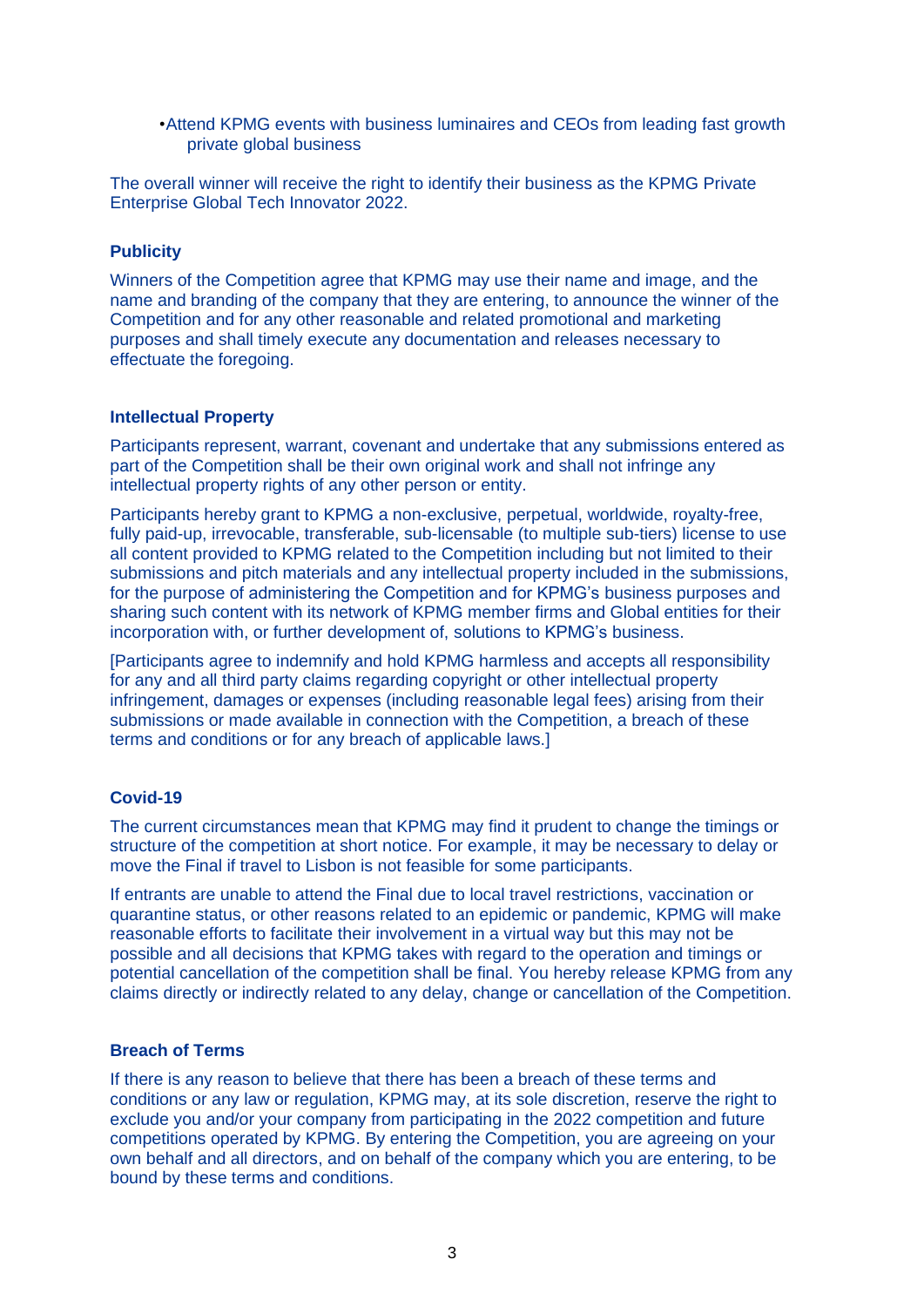•Attend KPMG events with business luminaires and CEOs from leading fast growth private global business

The overall winner will receive the right to identify their business as the KPMG Private Enterprise Global Tech Innovator 2022.

### **Publicity**

Winners of the Competition agree that KPMG may use their name and image, and the name and branding of the company that they are entering, to announce the winner of the Competition and for any other reasonable and related promotional and marketing purposes and shall timely execute any documentation and releases necessary to effectuate the foregoing.

## **Intellectual Property**

Participants represent, warrant, covenant and undertake that any submissions entered as part of the Competition shall be their own original work and shall not infringe any intellectual property rights of any other person or entity.

Participants hereby grant to KPMG a non-exclusive, perpetual, worldwide, royalty-free, fully paid-up, irrevocable, transferable, sub-licensable (to multiple sub-tiers) license to use all content provided to KPMG related to the Competition including but not limited to their submissions and pitch materials and any intellectual property included in the submissions, for the purpose of administering the Competition and for KPMG's business purposes and sharing such content with its network of KPMG member firms and Global entities for their incorporation with, or further development of, solutions to KPMG's business.

[Participants agree to indemnify and hold KPMG harmless and accepts all responsibility for any and all third party claims regarding copyright or other intellectual property infringement, damages or expenses (including reasonable legal fees) arising from their submissions or made available in connection with the Competition, a breach of these terms and conditions or for any breach of applicable laws.]

# **Covid-19**

The current circumstances mean that KPMG may find it prudent to change the timings or structure of the competition at short notice. For example, it may be necessary to delay or move the Final if travel to Lisbon is not feasible for some participants.

If entrants are unable to attend the Final due to local travel restrictions, vaccination or quarantine status, or other reasons related to an epidemic or pandemic, KPMG will make reasonable efforts to facilitate their involvement in a virtual way but this may not be possible and all decisions that KPMG takes with regard to the operation and timings or potential cancellation of the competition shall be final. You hereby release KPMG from any claims directly or indirectly related to any delay, change or cancellation of the Competition.

#### **Breach of Terms**

If there is any reason to believe that there has been a breach of these terms and conditions or any law or regulation, KPMG may, at its sole discretion, reserve the right to exclude you and/or your company from participating in the 2022 competition and future competitions operated by KPMG. By entering the Competition, you are agreeing on your own behalf and all directors, and on behalf of the company which you are entering, to be bound by these terms and conditions.